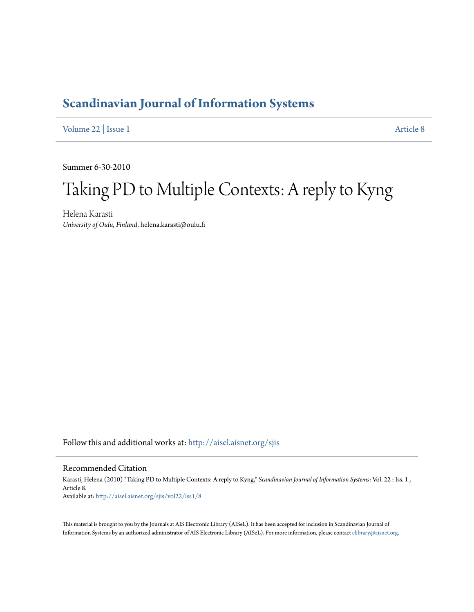# **[Scandinavian Journal of Information Systems](http://aisel.aisnet.org/sjis?utm_source=aisel.aisnet.org%2Fsjis%2Fvol22%2Fiss1%2F8&utm_medium=PDF&utm_campaign=PDFCoverPages)**

[Volume 22](http://aisel.aisnet.org/sjis/vol22?utm_source=aisel.aisnet.org%2Fsjis%2Fvol22%2Fiss1%2F8&utm_medium=PDF&utm_campaign=PDFCoverPages) | [Issue 1](http://aisel.aisnet.org/sjis/vol22/iss1?utm_source=aisel.aisnet.org%2Fsjis%2Fvol22%2Fiss1%2F8&utm_medium=PDF&utm_campaign=PDFCoverPages) [Article 8](http://aisel.aisnet.org/sjis/vol22/iss1/8?utm_source=aisel.aisnet.org%2Fsjis%2Fvol22%2Fiss1%2F8&utm_medium=PDF&utm_campaign=PDFCoverPages)

Summer 6-30-2010

# Taking PD to Multiple Contexts: A reply to Kyng

Helena Karasti *University of Oulu, Finland*, helena.karasti@oulu.fi

Follow this and additional works at: [http://aisel.aisnet.org/sjis](http://aisel.aisnet.org/sjis?utm_source=aisel.aisnet.org%2Fsjis%2Fvol22%2Fiss1%2F8&utm_medium=PDF&utm_campaign=PDFCoverPages)

#### Recommended Citation

Karasti, Helena (2010) "Taking PD to Multiple Contexts: A reply to Kyng," *Scandinavian Journal of Information Systems*: Vol. 22 : Iss. 1 , Article 8. Available at: [http://aisel.aisnet.org/sjis/vol22/iss1/8](http://aisel.aisnet.org/sjis/vol22/iss1/8?utm_source=aisel.aisnet.org%2Fsjis%2Fvol22%2Fiss1%2F8&utm_medium=PDF&utm_campaign=PDFCoverPages)

This material is brought to you by the Journals at AIS Electronic Library (AISeL). It has been accepted for inclusion in Scandinavian Journal of Information Systems by an authorized administrator of AIS Electronic Library (AISeL). For more information, please contact [elibrary@aisnet.org.](mailto:elibrary@aisnet.org%3E)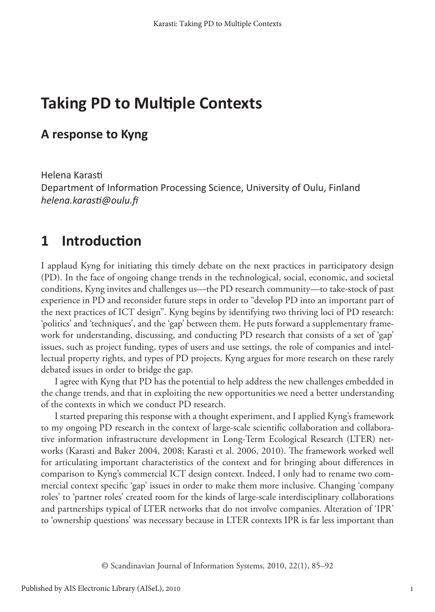# **Taking PD to Multiple Contexts**

#### **A response to Kyng**

Helena Karasti Department of Information Processing Science, University of Oulu, Finland *helena.karasti@oulu.fi*

#### **1 Introduction**

I applaud Kyng for initiating this timely debate on the next practices in participatory design (PD). In the face of ongoing change trends in the technological, social, economic, and societal conditions, Kyng invites and challenges us—the PD research community—to take-stock of past experience in PD and reconsider future steps in order to "develop PD into an important part of the next practices of ICT design". Kyng begins by identifying two thriving loci of PD research: 'politics' and 'techniques', and the 'gap' between them. He puts forward a supplementary framework for understanding, discussing, and conducting PD research that consists of a set of 'gap' issues, such as project funding, types of users and use settings, the role of companies and intellectual property rights, and types of PD projects. Kyng argues for more research on these rarely debated issues in order to bridge the gap.

I agree with Kyng that PD has the potential to help address the new challenges embedded in the change trends, and that in exploiting the new opportunities we need a better understanding of the contexts in which we conduct PD research.

I started preparing this response with a thought experiment, and I applied Kyng's framework to my ongoing PD research in the context of large-scale scientific collaboration and collaborative information infrastructure development in Long-Term Ecological Research (LTER) networks (Karasti and Baker 2004, 2008; Karasti et al. 2006, 2010). The framework worked well for articulating important characteristics of the context and for bringing about differences in comparison to Kyng's commercial ICT design context. Indeed, I only had to rename two commercial context specific 'gap' issues in order to make them more inclusive. Changing 'company roles' to 'partner roles' created room for the kinds of large-scale interdisciplinary collaborations and partnerships typical of LTER networks that do not involve companies. Alteration of 'IPR' to 'ownership questions' was necessary because in LTER contexts IPR is far less important than

© Scandinavian Journal of Information Systems, 2010, 22(1), 85–92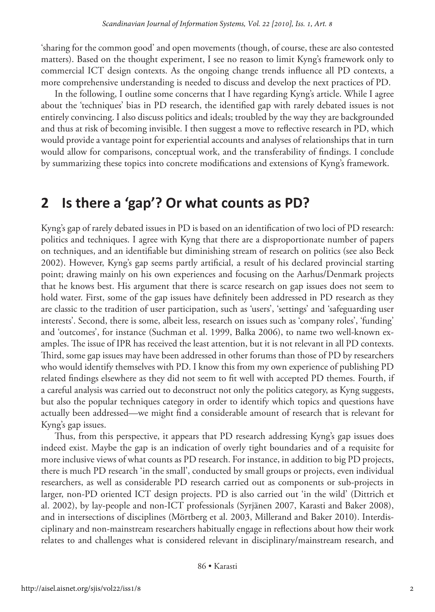'sharing for the common good' and open movements (though, of course, these are also contested matters). Based on the thought experiment, I see no reason to limit Kyng's framework only to commercial ICT design contexts. As the ongoing change trends influence all PD contexts, a more comprehensive understanding is needed to discuss and develop the next practices of PD.

In the following, I outline some concerns that I have regarding Kyng's article. While I agree about the 'techniques' bias in PD research, the identified gap with rarely debated issues is not entirely convincing. I also discuss politics and ideals; troubled by the way they are backgrounded and thus at risk of becoming invisible. I then suggest a move to reflective research in PD, which would provide a vantage point for experiential accounts and analyses of relationships that in turn would allow for comparisons, conceptual work, and the transferability of findings. I conclude by summarizing these topics into concrete modifications and extensions of Kyng's framework.

#### **2 Is there a 'gap'? Or what counts as PD?**

Kyng's gap of rarely debated issues in PD is based on an identification of two loci of PD research: politics and techniques. I agree with Kyng that there are a disproportionate number of papers on techniques, and an identifiable but diminishing stream of research on politics (see also Beck 2002). However, Kyng's gap seems partly artificial, a result of his declared provincial starting point; drawing mainly on his own experiences and focusing on the Aarhus/Denmark projects that he knows best. His argument that there is scarce research on gap issues does not seem to hold water. First, some of the gap issues have definitely been addressed in PD research as they are classic to the tradition of user participation, such as 'users', 'settings' and 'safeguarding user interests'. Second, there is some, albeit less, research on issues such as 'company roles', 'funding' and 'outcomes', for instance (Suchman et al. 1999, Balka 2006), to name two well-known examples. The issue of IPR has received the least attention, but it is not relevant in all PD contexts. Third, some gap issues may have been addressed in other forums than those of PD by researchers who would identify themselves with PD. I know this from my own experience of publishing PD related findings elsewhere as they did not seem to fit well with accepted PD themes. Fourth, if a careful analysis was carried out to deconstruct not only the politics category, as Kyng suggests, but also the popular techniques category in order to identify which topics and questions have actually been addressed—we might find a considerable amount of research that is relevant for Kyng's gap issues.

Thus, from this perspective, it appears that PD research addressing Kyng's gap issues does indeed exist. Maybe the gap is an indication of overly tight boundaries and of a requisite for more inclusive views of what counts as PD research. For instance, in addition to big PD projects, there is much PD research 'in the small', conducted by small groups or projects, even individual researchers, as well as considerable PD research carried out as components or sub-projects in larger, non-PD oriented ICT design projects. PD is also carried out 'in the wild' (Dittrich et al. 2002), by lay-people and non-ICT professionals (Syrjänen 2007, Karasti and Baker 2008), and in intersections of disciplines (Mörtberg et al. 2003, Millerand and Baker 2010). Interdisciplinary and non-mainstream researchers habitually engage in reflections about how their work relates to and challenges what is considered relevant in disciplinary/mainstream research, and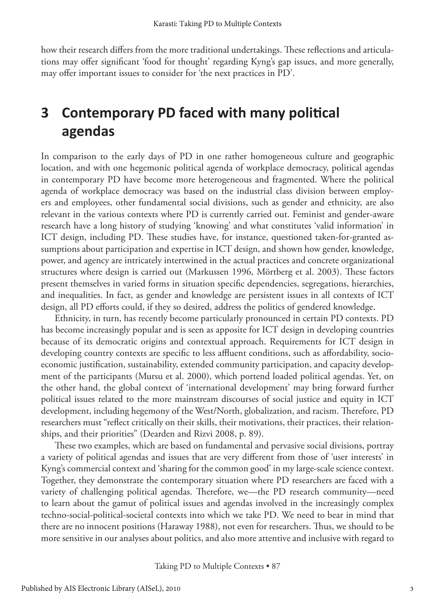how their research differs from the more traditional undertakings. These reflections and articulations may offer significant 'food for thought' regarding Kyng's gap issues, and more generally, may offer important issues to consider for 'the next practices in PD'.

# **3 Contemporary PD faced with many political agendas**

In comparison to the early days of PD in one rather homogeneous culture and geographic location, and with one hegemonic political agenda of workplace democracy, political agendas in contemporary PD have become more heterogeneous and fragmented. Where the political agenda of workplace democracy was based on the industrial class division between employers and employees, other fundamental social divisions, such as gender and ethnicity, are also relevant in the various contexts where PD is currently carried out. Feminist and gender-aware research have a long history of studying 'knowing' and what constitutes 'valid information' in ICT design, including PD. These studies have, for instance, questioned taken-for-granted assumptions about participation and expertise in ICT design, and shown how gender, knowledge, power, and agency are intricately intertwined in the actual practices and concrete organizational structures where design is carried out (Markussen 1996, Mörtberg et al. 2003). These factors present themselves in varied forms in situation specific dependencies, segregations, hierarchies, and inequalities. In fact, as gender and knowledge are persistent issues in all contexts of ICT design, all PD efforts could, if they so desired, address the politics of gendered knowledge.

Ethnicity, in turn, has recently become particularly pronounced in certain PD contexts. PD has become increasingly popular and is seen as apposite for ICT design in developing countries because of its democratic origins and contextual approach. Requirements for ICT design in developing country contexts are specific to less affluent conditions, such as affordability, socioeconomic justification, sustainability, extended community participation, and capacity development of the participants (Mursu et al. 2000), which portend loaded political agendas. Yet, on the other hand, the global context of 'international development' may bring forward further political issues related to the more mainstream discourses of social justice and equity in ICT development, including hegemony of the West/North, globalization, and racism. Therefore, PD researchers must "reflect critically on their skills, their motivations, their practices, their relationships, and their priorities" (Dearden and Rizvi 2008, p. 89).

These two examples, which are based on fundamental and pervasive social divisions, portray a variety of political agendas and issues that are very different from those of 'user interests' in Kyng's commercial context and 'sharing for the common good' in my large-scale science context. Together, they demonstrate the contemporary situation where PD researchers are faced with a variety of challenging political agendas. Therefore, we—the PD research community—need to learn about the gamut of political issues and agendas involved in the increasingly complex techno-social-political-societal contexts into which we take PD. We need to bear in mind that there are no innocent positions (Haraway 1988), not even for researchers. Thus, we should to be more sensitive in our analyses about politics, and also more attentive and inclusive with regard to

Taking PD to Multiple Contexts • 87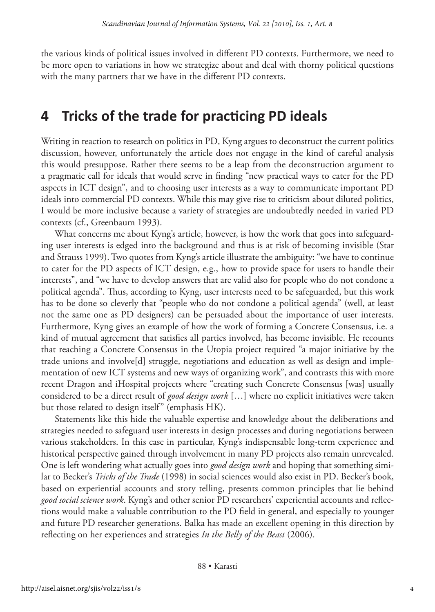the various kinds of political issues involved in different PD contexts. Furthermore, we need to be more open to variations in how we strategize about and deal with thorny political questions with the many partners that we have in the different PD contexts.

## **4 Tricks of the trade for practicing PD ideals**

Writing in reaction to research on politics in PD, Kyng argues to deconstruct the current politics discussion, however, unfortunately the article does not engage in the kind of careful analysis this would presuppose. Rather there seems to be a leap from the deconstruction argument to a pragmatic call for ideals that would serve in finding "new practical ways to cater for the PD aspects in ICT design", and to choosing user interests as a way to communicate important PD ideals into commercial PD contexts. While this may give rise to criticism about diluted politics, I would be more inclusive because a variety of strategies are undoubtedly needed in varied PD contexts (cf., Greenbaum 1993).

What concerns me about Kyng's article, however, is how the work that goes into safeguarding user interests is edged into the background and thus is at risk of becoming invisible (Star and Strauss 1999). Two quotes from Kyng's article illustrate the ambiguity: "we have to continue to cater for the PD aspects of ICT design, e.g., how to provide space for users to handle their interests", and "we have to develop answers that are valid also for people who do not condone a political agenda". Thus, according to Kyng, user interests need to be safeguarded, but this work has to be done so cleverly that "people who do not condone a political agenda" (well, at least not the same one as PD designers) can be persuaded about the importance of user interests. Furthermore, Kyng gives an example of how the work of forming a Concrete Consensus, i.e. a kind of mutual agreement that satisfies all parties involved, has become invisible. He recounts that reaching a Concrete Consensus in the Utopia project required "a major initiative by the trade unions and involve[d] struggle, negotiations and education as well as design and implementation of new ICT systems and new ways of organizing work", and contrasts this with more recent Dragon and iHospital projects where "creating such Concrete Consensus [was] usually considered to be a direct result of *good design work* […] where no explicit initiatives were taken but those related to design itself" (emphasis HK).

Statements like this hide the valuable expertise and knowledge about the deliberations and strategies needed to safeguard user interests in design processes and during negotiations between various stakeholders. In this case in particular, Kyng's indispensable long-term experience and historical perspective gained through involvement in many PD projects also remain unrevealed. One is left wondering what actually goes into *good design work* and hoping that something similar to Becker's *Tricks of the Trade* (1998) in social sciences would also exist in PD. Becker's book, based on experiential accounts and story telling, presents common principles that lie behind *good social science work*. Kyng's and other senior PD researchers' experiential accounts and reflections would make a valuable contribution to the PD field in general, and especially to younger and future PD researcher generations. Balka has made an excellent opening in this direction by reflecting on her experiences and strategies *In the Belly of the Beast* (2006).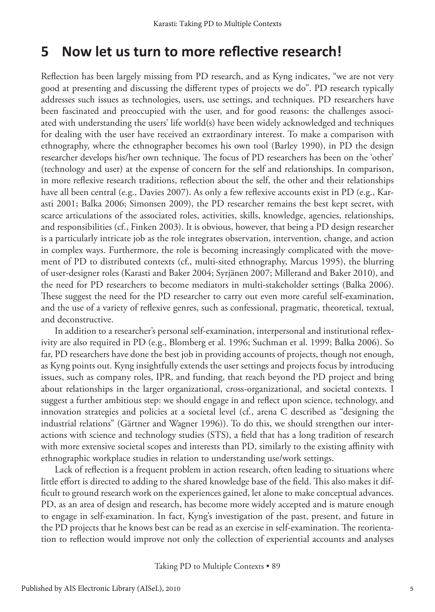#### **5 Now let us turn to more reflective research!**

Reflection has been largely missing from PD research, and as Kyng indicates, "we are not very good at presenting and discussing the different types of projects we do". PD research typically addresses such issues as technologies, users, use settings, and techniques. PD researchers have been fascinated and preoccupied with the user, and for good reasons: the challenges associated with understanding the users' life world(s) have been widely acknowledged and techniques for dealing with the user have received an extraordinary interest. To make a comparison with ethnography, where the ethnographer becomes his own tool (Barley 1990), in PD the design researcher develops his/her own technique. The focus of PD researchers has been on the 'other' (technology and user) at the expense of concern for the self and relationships. In comparison, in more reflexive research traditions, reflection about the self, the other and their relationships have all been central (e.g., Davies 2007). As only a few reflexive accounts exist in PD (e.g., Karasti 2001; Balka 2006; Simonsen 2009), the PD researcher remains the best kept secret, with scarce articulations of the associated roles, activities, skills, knowledge, agencies, relationships, and responsibilities (cf., Finken 2003). It is obvious, however, that being a PD design researcher is a particularly intricate job as the role integrates observation, intervention, change, and action in complex ways. Furthermore, the role is becoming increasingly complicated with the movement of PD to distributed contexts (cf., multi-sited ethnography, Marcus 1995), the blurring of user-designer roles (Karasti and Baker 2004; Syrjänen 2007; Millerand and Baker 2010), and the need for PD researchers to become mediators in multi-stakeholder settings (Balka 2006). These suggest the need for the PD researcher to carry out even more careful self-examination, and the use of a variety of reflexive genres, such as confessional, pragmatic, theoretical, textual, and deconstructive.

In addition to a researcher's personal self-examination, interpersonal and institutional reflexivity are also required in PD (e.g., Blomberg et al. 1996; Suchman et al. 1999; Balka 2006). So far, PD researchers have done the best job in providing accounts of projects, though not enough, as Kyng points out. Kyng insightfully extends the user settings and projects focus by introducing issues, such as company roles, IPR, and funding, that reach beyond the PD project and bring about relationships in the larger organizational, cross-organizational, and societal contexts. I suggest a further ambitious step: we should engage in and reflect upon science, technology, and innovation strategies and policies at a societal level (cf., arena C described as "designing the industrial relations" (Gärtner and Wagner 1996)). To do this, we should strengthen our interactions with science and technology studies (STS), a field that has a long tradition of research with more extensive societal scopes and interests than PD, similarly to the existing affinity with ethnographic workplace studies in relation to understanding use/work settings.

Lack of reflection is a frequent problem in action research, often leading to situations where little effort is directed to adding to the shared knowledge base of the field. This also makes it difficult to ground research work on the experiences gained, let alone to make conceptual advances. PD, as an area of design and research, has become more widely accepted and is mature enough to engage in self-examination. In fact, Kyng's investigation of the past, present, and future in the PD projects that he knows best can be read as an exercise in self-examination. The reorientation to reflection would improve not only the collection of experiential accounts and analyses

Taking PD to Multiple Contexts • 89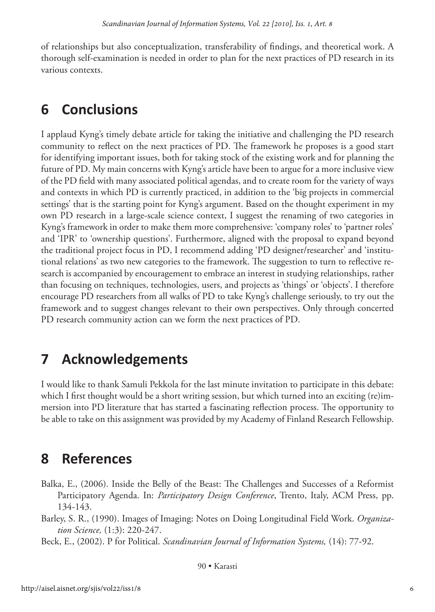of relationships but also conceptualization, transferability of findings, and theoretical work. A thorough self-examination is needed in order to plan for the next practices of PD research in its various contexts.

#### **6 Conclusions**

I applaud Kyng's timely debate article for taking the initiative and challenging the PD research community to reflect on the next practices of PD. The framework he proposes is a good start for identifying important issues, both for taking stock of the existing work and for planning the future of PD. My main concerns with Kyng's article have been to argue for a more inclusive view of the PD field with many associated political agendas, and to create room for the variety of ways and contexts in which PD is currently practiced, in addition to the 'big projects in commercial settings' that is the starting point for Kyng's argument. Based on the thought experiment in my own PD research in a large-scale science context, I suggest the renaming of two categories in Kyng's framework in order to make them more comprehensive: 'company roles' to 'partner roles' and 'IPR' to 'ownership questions'. Furthermore, aligned with the proposal to expand beyond the traditional project focus in PD, I recommend adding 'PD designer/researcher' and 'institutional relations' as two new categories to the framework. The suggestion to turn to reflective research is accompanied by encouragement to embrace an interest in studying relationships, rather than focusing on techniques, technologies, users, and projects as 'things' or 'objects'. I therefore encourage PD researchers from all walks of PD to take Kyng's challenge seriously, to try out the framework and to suggest changes relevant to their own perspectives. Only through concerted PD research community action can we form the next practices of PD.

## **7 Acknowledgements**

I would like to thank Samuli Pekkola for the last minute invitation to participate in this debate: which I first thought would be a short writing session, but which turned into an exciting (re)immersion into PD literature that has started a fascinating reflection process. The opportunity to be able to take on this assignment was provided by my Academy of Finland Research Fellowship.

## **8 References**

- Balka, E., (2006). Inside the Belly of the Beast: The Challenges and Successes of a Reformist Participatory Agenda. In: *Participatory Design Conference*, Trento, Italy, ACM Press, pp. 134-143.
- Barley, S. R., (1990). Images of Imaging: Notes on Doing Longitudinal Field Work. *Organization Science,* (1:3): 220-247.

Beck, E., (2002). P for Political. *Scandinavian Journal of Information Systems,* (14): 77-92.

90 • Karasti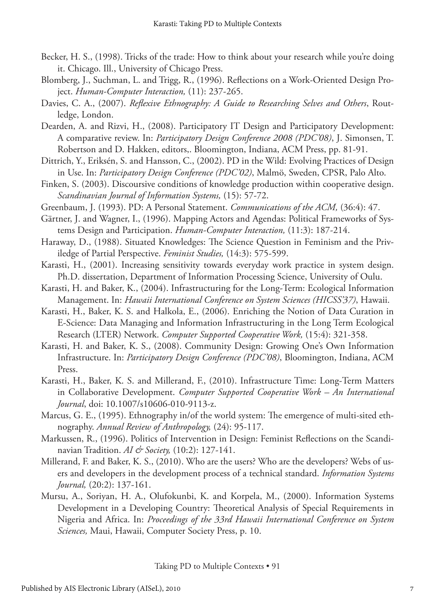- Becker, H. S., (1998). Tricks of the trade: How to think about your research while you're doing it. Chicago. Ill., University of Chicago Press.
- Blomberg, J., Suchman, L. and Trigg, R., (1996). Reflections on a Work-Oriented Design Project. *Human-Computer Interaction,* (11): 237-265.
- Davies, C. A., (2007). *Reflexive Ethnography: A Guide to Researching Selves and Others*, Routledge, London.
- Dearden, A. and Rizvi, H., (2008). Participatory IT Design and Participatory Development: A comparative review. In: *Participatory Design Conference 2008 (PDC'08)*, J. Simonsen, T. Robertson and D. Hakken, editors,. Bloomington, Indiana, ACM Press, pp. 81-91.
- Dittrich, Y., Eriksén, S. and Hansson, C., (2002). PD in the Wild: Evolving Practices of Design in Use. In: *Participatory Design Conference (PDC'02)*, Malmö, Sweden, CPSR, Palo Alto.
- Finken, S. (2003). Discoursive conditions of knowledge production within cooperative design. *Scandinavian Journal of Information Systems,* (15): 57-72.
- Greenbaum, J. (1993). PD: A Personal Statement. *Communications of the ACM,* (36:4): 47.
- Gärtner, J. and Wagner, I., (1996). Mapping Actors and Agendas: Political Frameworks of Systems Design and Participation. *Human-Computer Interaction,* (11:3): 187-214.
- Haraway, D., (1988). Situated Knowledges: The Science Question in Feminism and the Priviledge of Partial Perspective. *Feminist Studies,* (14:3): 575-599.
- Karasti, H., (2001). Increasing sensitivity towards everyday work practice in system design. Ph.D. dissertation, Department of Information Processing Science, University of Oulu.
- Karasti, H. and Baker, K., (2004). Infrastructuring for the Long-Term: Ecological Information Management. In: *Hawaii International Conference on System Sciences (HICSS'37)*, Hawaii.
- Karasti, H., Baker, K. S. and Halkola, E., (2006). Enriching the Notion of Data Curation in E-Science: Data Managing and Information Infrastructuring in the Long Term Ecological Research (LTER) Network. *Computer Supported Cooperative Work,* (15:4): 321-358.
- Karasti, H. and Baker, K. S., (2008). Community Design: Growing One's Own Information Infrastructure. In: *Participatory Design Conference (PDC'08)*, Bloomington, Indiana, ACM Press.
- Karasti, H., Baker, K. S. and Millerand, F., (2010). Infrastructure Time: Long-Term Matters in Collaborative Development. *Computer Supported Cooperative Work – An International Journal*, doi: 10.1007/s10606-010-9113-z.
- Marcus, G. E., (1995). Ethnography in/of the world system: The emergence of multi-sited ethnography. *Annual Review of Anthropology,* (24): 95-117.
- Markussen, R., (1996). Politics of Intervention in Design: Feminist Reflections on the Scandinavian Tradition. *AI & Society,* (10:2): 127-141.
- Millerand, F. and Baker, K. S., (2010). Who are the users? Who are the developers? Webs of users and developers in the development process of a technical standard. *Information Systems Journal,* (20:2): 137-161.
- Mursu, A., Soriyan, H. A., Olufokunbi, K. and Korpela, M., (2000). Information Systems Development in a Developing Country: Theoretical Analysis of Special Requirements in Nigeria and Africa. In: *Proceedings of the 33rd Hawaii International Conference on System Sciences,* Maui, Hawaii, Computer Society Press, p. 10.

Taking PD to Multiple Contexts • 91